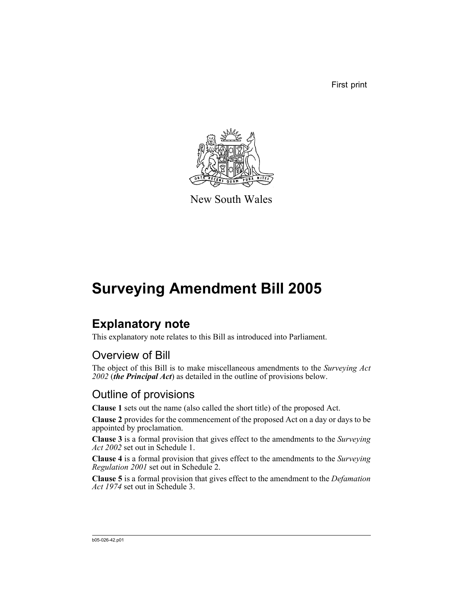First print



New South Wales

# **Surveying Amendment Bill 2005**

# **Explanatory note**

This explanatory note relates to this Bill as introduced into Parliament.

# Overview of Bill

The object of this Bill is to make miscellaneous amendments to the *Surveying Act 2002* (*the Principal Act*) as detailed in the outline of provisions below.

# Outline of provisions

**Clause 1** sets out the name (also called the short title) of the proposed Act.

**Clause 2** provides for the commencement of the proposed Act on a day or days to be appointed by proclamation.

**Clause 3** is a formal provision that gives effect to the amendments to the *Surveying Act 2002* set out in Schedule 1.

**Clause 4** is a formal provision that gives effect to the amendments to the *Surveying Regulation 2001* set out in Schedule 2.

**Clause 5** is a formal provision that gives effect to the amendment to the *Defamation Act 1974* set out in Schedule 3.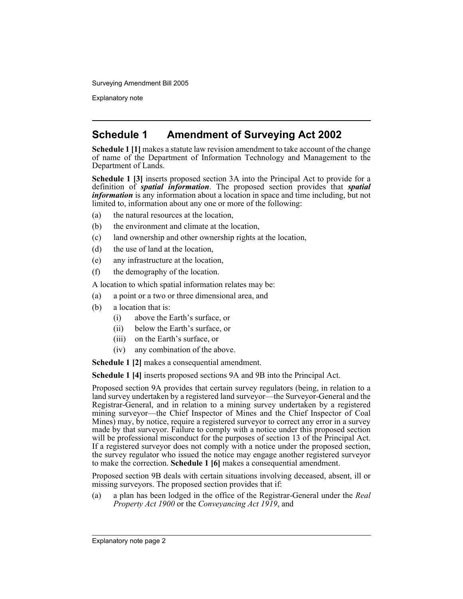Explanatory note

## **Schedule 1 Amendment of Surveying Act 2002**

**Schedule 1 [1]** makes a statute law revision amendment to take account of the change of name of the Department of Information Technology and Management to the Department of Lands.

**Schedule 1 [3]** inserts proposed section 3A into the Principal Act to provide for a definition of *spatial information*. The proposed section provides that *spatial information* is any information about a location in space and time including, but not limited to, information about any one or more of the following:

- (a) the natural resources at the location,
- (b) the environment and climate at the location,
- (c) land ownership and other ownership rights at the location,
- (d) the use of land at the location,
- (e) any infrastructure at the location,
- (f) the demography of the location.

A location to which spatial information relates may be:

- (a) a point or a two or three dimensional area, and
- (b) a location that is:
	- (i) above the Earth's surface, or
	- (ii) below the Earth's surface, or
	- (iii) on the Earth's surface, or
	- (iv) any combination of the above.

**Schedule 1 [2]** makes a consequential amendment.

**Schedule 1 [4]** inserts proposed sections 9A and 9B into the Principal Act.

Proposed section 9A provides that certain survey regulators (being, in relation to a land survey undertaken by a registered land surveyor—the Surveyor-General and the Registrar-General, and in relation to a mining survey undertaken by a registered mining surveyor—the Chief Inspector of Mines and the Chief Inspector of Coal Mines) may, by notice, require a registered surveyor to correct any error in a survey made by that surveyor. Failure to comply with a notice under this proposed section will be professional misconduct for the purposes of section 13 of the Principal Act. If a registered surveyor does not comply with a notice under the proposed section, the survey regulator who issued the notice may engage another registered surveyor to make the correction. **Schedule 1 [6]** makes a consequential amendment.

Proposed section 9B deals with certain situations involving deceased, absent, ill or missing surveyors. The proposed section provides that if:

(a) a plan has been lodged in the office of the Registrar-General under the *Real Property Act 1900* or the *Conveyancing Act 1919*, and

Explanatory note page 2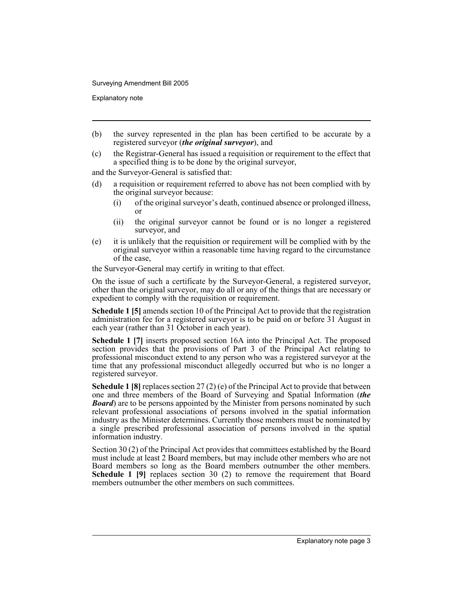Explanatory note

- (b) the survey represented in the plan has been certified to be accurate by a registered surveyor (*the original surveyor*), and
- (c) the Registrar-General has issued a requisition or requirement to the effect that a specified thing is to be done by the original surveyor,

and the Surveyor-General is satisfied that:

- (d) a requisition or requirement referred to above has not been complied with by the original surveyor because:
	- (i) of the original surveyor's death, continued absence or prolonged illness, or
	- (ii) the original surveyor cannot be found or is no longer a registered surveyor, and
- (e) it is unlikely that the requisition or requirement will be complied with by the original surveyor within a reasonable time having regard to the circumstance of the case,

the Surveyor-General may certify in writing to that effect.

On the issue of such a certificate by the Surveyor-General, a registered surveyor, other than the original surveyor, may do all or any of the things that are necessary or expedient to comply with the requisition or requirement.

**Schedule 1 [5]** amends section 10 of the Principal Act to provide that the registration administration fee for a registered surveyor is to be paid on or before 31 August in each year (rather than 31 October in each year).

**Schedule 1 [7]** inserts proposed section 16A into the Principal Act. The proposed section provides that the provisions of Part 3 of the Principal Act relating to professional misconduct extend to any person who was a registered surveyor at the time that any professional misconduct allegedly occurred but who is no longer a registered surveyor.

**Schedule 1 [8]** replaces section 27 (2) (e) of the Principal Act to provide that between one and three members of the Board of Surveying and Spatial Information (*the* **Board**) are to be persons appointed by the Minister from persons nominated by such relevant professional associations of persons involved in the spatial information industry as the Minister determines. Currently those members must be nominated by a single prescribed professional association of persons involved in the spatial information industry.

Section 30 (2) of the Principal Act provides that committees established by the Board must include at least 2 Board members, but may include other members who are not Board members so long as the Board members outnumber the other members. **Schedule 1 [9]** replaces section 30 (2) to remove the requirement that Board members outnumber the other members on such committees.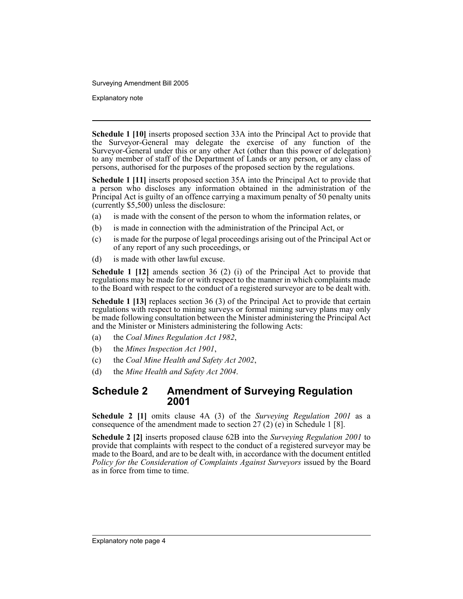Explanatory note

**Schedule 1 [10]** inserts proposed section 33A into the Principal Act to provide that the Surveyor-General may delegate the exercise of any function of the Surveyor-General under this or any other Act (other than this power of delegation) to any member of staff of the Department of Lands or any person, or any class of persons, authorised for the purposes of the proposed section by the regulations.

**Schedule 1 [11]** inserts proposed section 35A into the Principal Act to provide that a person who discloses any information obtained in the administration of the Principal Act is guilty of an offence carrying a maximum penalty of 50 penalty units (currently \$5,500) unless the disclosure:

- (a) is made with the consent of the person to whom the information relates, or
- (b) is made in connection with the administration of the Principal Act, or
- (c) is made for the purpose of legal proceedings arising out of the Principal Act or of any report of any such proceedings, or
- (d) is made with other lawful excuse.

**Schedule 1 [12]** amends section 36 (2) (i) of the Principal Act to provide that regulations may be made for or with respect to the manner in which complaints made to the Board with respect to the conduct of a registered surveyor are to be dealt with.

**Schedule 1 [13]** replaces section 36 (3) of the Principal Act to provide that certain regulations with respect to mining surveys or formal mining survey plans may only be made following consultation between the Minister administering the Principal Act and the Minister or Ministers administering the following Acts:

- (a) the *Coal Mines Regulation Act 1982*,
- (b) the *Mines Inspection Act 1901*,
- (c) the *Coal Mine Health and Safety Act 2002*,
- (d) the *Mine Health and Safety Act 2004*.

## **Schedule 2 Amendment of Surveying Regulation 2001**

**Schedule 2 [1]** omits clause 4A (3) of the *Surveying Regulation 2001* as a consequence of the amendment made to section  $27 (2)(e)$  in Schedule 1 [8].

**Schedule 2 [2]** inserts proposed clause 62B into the *Surveying Regulation 2001* to provide that complaints with respect to the conduct of a registered surveyor may be made to the Board, and are to be dealt with, in accordance with the document entitled *Policy for the Consideration of Complaints Against Surveyors* issued by the Board as in force from time to time.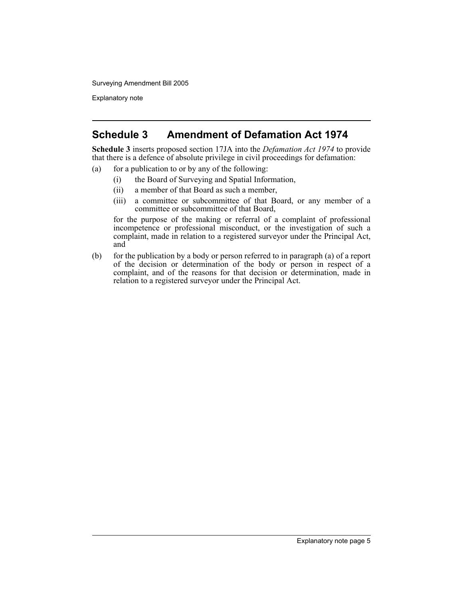Explanatory note

## **Schedule 3 Amendment of Defamation Act 1974**

**Schedule 3** inserts proposed section 17JA into the *Defamation Act 1974* to provide that there is a defence of absolute privilege in civil proceedings for defamation:

- (a) for a publication to or by any of the following:
	- (i) the Board of Surveying and Spatial Information,
	- (ii) a member of that Board as such a member,
	- (iii) a committee or subcommittee of that Board, or any member of a committee or subcommittee of that Board,

for the purpose of the making or referral of a complaint of professional incompetence or professional misconduct, or the investigation of such a complaint, made in relation to a registered surveyor under the Principal Act, and

(b) for the publication by a body or person referred to in paragraph (a) of a report of the decision or determination of the body or person in respect of a complaint, and of the reasons for that decision or determination, made in relation to a registered surveyor under the Principal Act.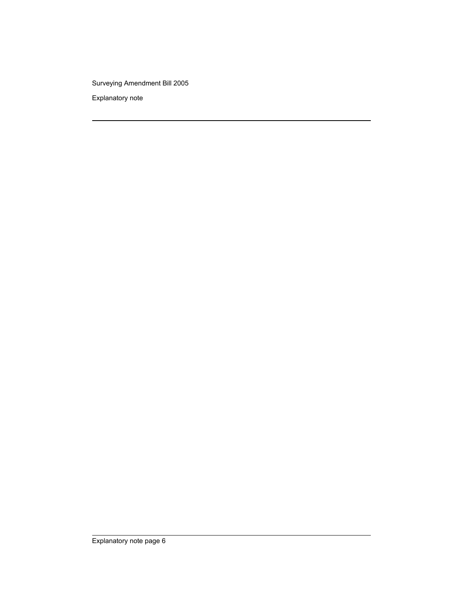Explanatory note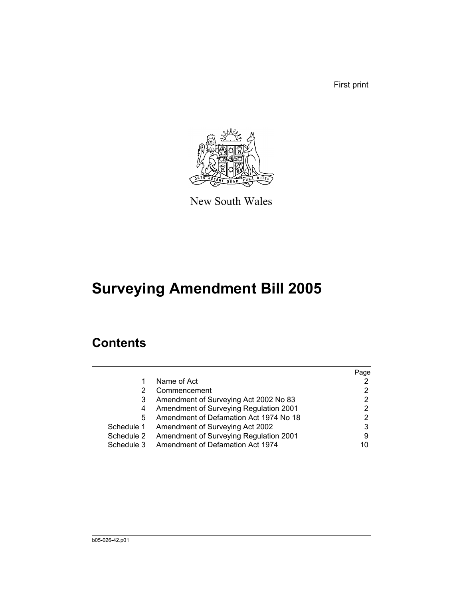First print



New South Wales

# **Surveying Amendment Bill 2005**

# **Contents**

|            |                                        | Page |
|------------|----------------------------------------|------|
|            | Name of Act                            |      |
|            | Commencement                           | 2    |
|            | Amendment of Surveying Act 2002 No 83  |      |
| 4          | Amendment of Surveying Regulation 2001 |      |
| 5          | Amendment of Defamation Act 1974 No 18 |      |
| Schedule 1 | Amendment of Surveying Act 2002        | 3    |
| Schedule 2 | Amendment of Surveying Regulation 2001 | 9    |
| Schedule 3 | Amendment of Defamation Act 1974       |      |
|            |                                        |      |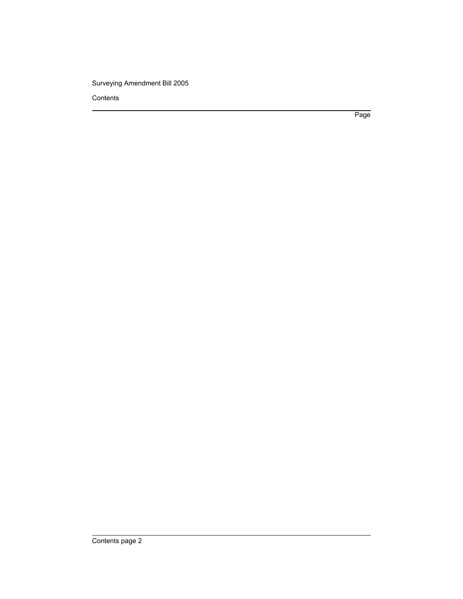**Contents** 

Page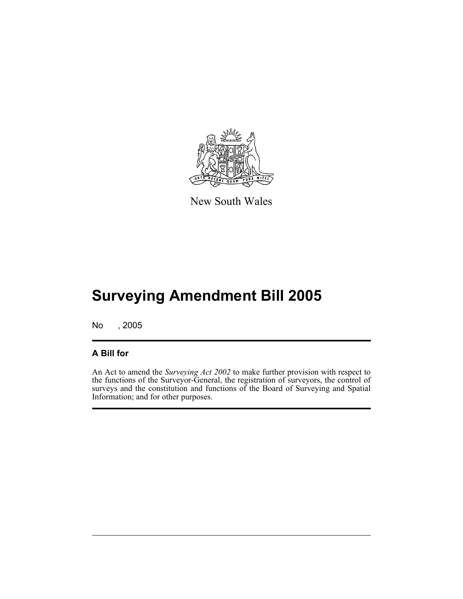

New South Wales

# **Surveying Amendment Bill 2005**

No , 2005

## **A Bill for**

An Act to amend the *Surveying Act 2002* to make further provision with respect to the functions of the Surveyor-General, the registration of surveyors, the control of surveys and the constitution and functions of the Board of Surveying and Spatial Information; and for other purposes.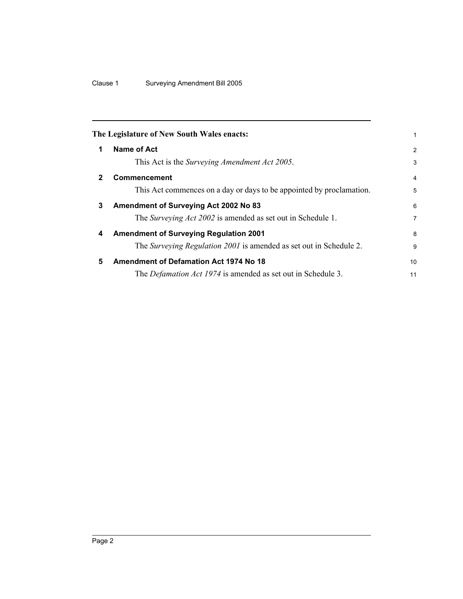<span id="page-9-3"></span><span id="page-9-2"></span><span id="page-9-1"></span><span id="page-9-0"></span>

|              | The Legislature of New South Wales enacts:                                | 1              |
|--------------|---------------------------------------------------------------------------|----------------|
| 1            | <b>Name of Act</b>                                                        | $\overline{2}$ |
|              | This Act is the <i>Surveying Amendment Act 2005</i> .                     | 3              |
| $\mathbf{2}$ | <b>Commencement</b>                                                       | $\overline{4}$ |
|              | This Act commences on a day or days to be appointed by proclamation.      | 5              |
| 3            | Amendment of Surveying Act 2002 No 83                                     | 6              |
|              | The <i>Surveying Act 2002</i> is amended as set out in Schedule 1.        | 7              |
| 4            | <b>Amendment of Surveying Regulation 2001</b>                             | 8              |
|              | The <i>Surveying Regulation 2001</i> is amended as set out in Schedule 2. | 9              |
| 5            | <b>Amendment of Defamation Act 1974 No 18</b>                             | 10             |
|              | The <i>Defamation Act 1974</i> is amended as set out in Schedule 3.       | 11             |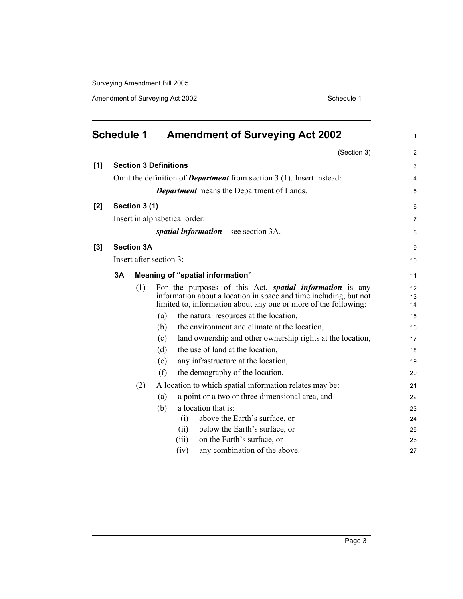Amendment of Surveying Act 2002 Schedule 1

<span id="page-10-0"></span>

|       | <b>Schedule 1</b>       |                              |     |                               | <b>Amendment of Surveying Act 2002</b>                                                                                                                                                                  | $\mathbf{1}$    |
|-------|-------------------------|------------------------------|-----|-------------------------------|---------------------------------------------------------------------------------------------------------------------------------------------------------------------------------------------------------|-----------------|
|       |                         |                              |     |                               | (Section 3)                                                                                                                                                                                             | $\overline{2}$  |
| [1]   |                         | <b>Section 3 Definitions</b> |     |                               |                                                                                                                                                                                                         | 3               |
|       |                         |                              |     |                               | Omit the definition of <i>Department</i> from section $3(1)$ . Insert instead:                                                                                                                          | 4               |
|       |                         |                              |     |                               | <b>Department</b> means the Department of Lands.                                                                                                                                                        | 5               |
| $[2]$ |                         | Section 3 (1)                |     |                               |                                                                                                                                                                                                         | 6               |
|       |                         |                              |     | Insert in alphabetical order: |                                                                                                                                                                                                         | $\overline{7}$  |
|       |                         |                              |     |                               | <i>spatial information</i> —see section 3A.                                                                                                                                                             | 8               |
| $[3]$ |                         | <b>Section 3A</b>            |     |                               |                                                                                                                                                                                                         | 9               |
|       | Insert after section 3: |                              |     |                               |                                                                                                                                                                                                         | 10 <sup>1</sup> |
|       | 3A                      |                              |     |                               | Meaning of "spatial information"                                                                                                                                                                        | 11              |
|       |                         | (1)                          |     |                               | For the purposes of this Act, <i>spatial information</i> is any<br>information about a location in space and time including, but not<br>limited to, information about any one or more of the following: | 12<br>13<br>14  |
|       |                         |                              | (a) |                               | the natural resources at the location,                                                                                                                                                                  | 15              |
|       |                         |                              | (b) |                               | the environment and climate at the location,                                                                                                                                                            | 16              |
|       |                         |                              | (c) |                               | land ownership and other ownership rights at the location,                                                                                                                                              | 17              |
|       |                         |                              | (d) |                               | the use of land at the location,                                                                                                                                                                        | 18              |
|       |                         |                              | (e) |                               | any infrastructure at the location,                                                                                                                                                                     | 19              |
|       |                         |                              | (f) |                               | the demography of the location.                                                                                                                                                                         | 20              |
|       |                         | (2)                          |     |                               | A location to which spatial information relates may be:                                                                                                                                                 | 21              |
|       |                         |                              | (a) |                               | a point or a two or three dimensional area, and                                                                                                                                                         | 22              |
|       |                         |                              | (b) |                               | a location that is:                                                                                                                                                                                     | 23              |
|       |                         |                              |     | (i)                           | above the Earth's surface, or                                                                                                                                                                           | 24              |
|       |                         |                              |     | (ii)                          | below the Earth's surface, or                                                                                                                                                                           | 25              |
|       |                         |                              |     | (iii)                         | on the Earth's surface, or                                                                                                                                                                              | 26              |
|       |                         |                              |     | (iv)                          | any combination of the above.                                                                                                                                                                           | 27              |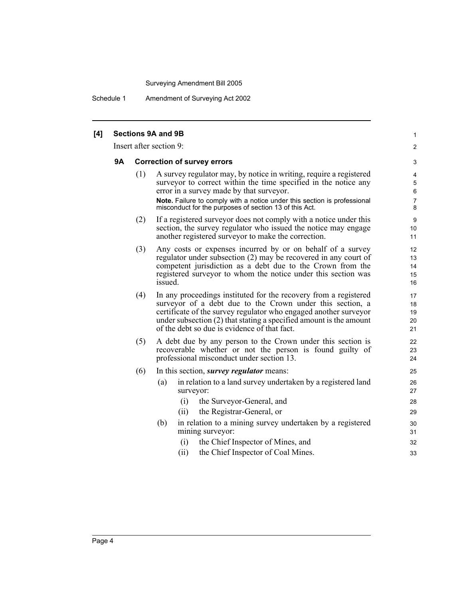Schedule 1 Amendment of Surveying Act 2002

# **[4] Sections 9A and 9B** Insert after section 9:

### **9A Correction of survey errors**

(1) A survey regulator may, by notice in writing, require a registered surveyor to correct within the time specified in the notice any error in a survey made by that surveyor. **Note.** Failure to comply with a notice under this section is professional misconduct for the purposes of section 13 of this Act.

1 2

- (2) If a registered surveyor does not comply with a notice under this section, the survey regulator who issued the notice may engage another registered surveyor to make the correction.
- (3) Any costs or expenses incurred by or on behalf of a survey regulator under subsection (2) may be recovered in any court of competent jurisdiction as a debt due to the Crown from the registered surveyor to whom the notice under this section was issued.
- (4) In any proceedings instituted for the recovery from a registered surveyor of a debt due to the Crown under this section, a certificate of the survey regulator who engaged another surveyor under subsection (2) that stating a specified amount is the amount of the debt so due is evidence of that fact.
- (5) A debt due by any person to the Crown under this section is recoverable whether or not the person is found guilty of professional misconduct under section 13.
- (6) In this section, *survey regulator* means:
	- (a) in relation to a land survey undertaken by a registered land surveyor:
		- (i) the Surveyor-General, and (ii) the Registrar-General, or 28 29
	- (b) in relation to a mining survey undertaken by a registered mining surveyor: (i) the Chief Inspector of Mines, and 30 31 32
		- (ii) the Chief Inspector of Coal Mines. 33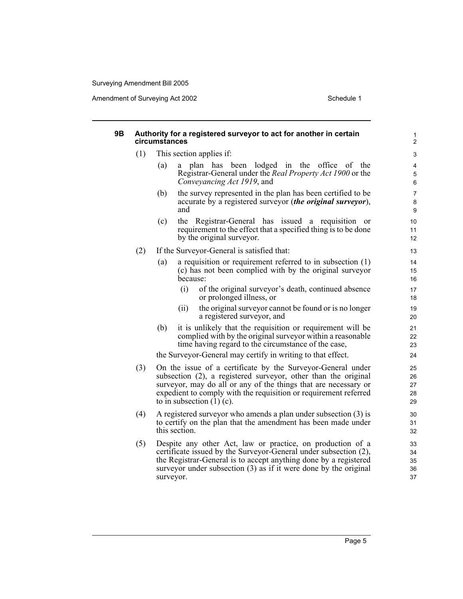Amendment of Surveying Act 2002 Schedule 1

| <b>9B</b> | Authority for a registered surveyor to act for another in certain<br>circumstances |                                                                                                                                                                                                                                                                                                     |                            |  |  |  |
|-----------|------------------------------------------------------------------------------------|-----------------------------------------------------------------------------------------------------------------------------------------------------------------------------------------------------------------------------------------------------------------------------------------------------|----------------------------|--|--|--|
|           | (1)                                                                                | This section applies if:                                                                                                                                                                                                                                                                            | 3                          |  |  |  |
|           |                                                                                    | (a)<br>plan has been lodged in the office of the<br>a<br>Registrar-General under the Real Property Act 1900 or the<br>Conveyancing Act 1919, and                                                                                                                                                    | 4<br>5<br>6                |  |  |  |
|           |                                                                                    | (b)<br>the survey represented in the plan has been certified to be<br>accurate by a registered surveyor <i>(the original surveyor)</i> ,<br>and                                                                                                                                                     | 7<br>8<br>9                |  |  |  |
|           |                                                                                    | (c)<br>the Registrar-General has issued a requisition or<br>requirement to the effect that a specified thing is to be done<br>by the original surveyor.                                                                                                                                             | 10<br>11<br>12             |  |  |  |
|           | (2)                                                                                | If the Surveyor-General is satisfied that:                                                                                                                                                                                                                                                          | 13                         |  |  |  |
|           |                                                                                    | a requisition or requirement referred to in subsection (1)<br>(a)<br>(c) has not been complied with by the original surveyor<br>because:                                                                                                                                                            | 14<br>15<br>16             |  |  |  |
|           |                                                                                    | (i)<br>of the original surveyor's death, continued absence<br>or prolonged illness, or                                                                                                                                                                                                              | 17<br>18                   |  |  |  |
|           |                                                                                    | the original survey or cannot be found or is no longer<br>(ii)<br>a registered surveyor, and                                                                                                                                                                                                        | 19<br>20                   |  |  |  |
|           |                                                                                    | (b)<br>it is unlikely that the requisition or requirement will be<br>complied with by the original survey or within a reasonable<br>time having regard to the circumstance of the case,                                                                                                             | 21<br>22<br>23             |  |  |  |
|           |                                                                                    | the Surveyor-General may certify in writing to that effect.                                                                                                                                                                                                                                         | 24                         |  |  |  |
|           | (3)                                                                                | On the issue of a certificate by the Surveyor-General under<br>subsection (2), a registered surveyor, other than the original<br>surveyor, may do all or any of the things that are necessary or<br>expedient to comply with the requisition or requirement referred<br>to in subsection $(1)$ (c). | 25<br>26<br>27<br>28<br>29 |  |  |  |
|           | (4)                                                                                | A registered surveyor who amends a plan under subsection (3) is<br>to certify on the plan that the amendment has been made under<br>this section.                                                                                                                                                   | 30<br>31<br>32             |  |  |  |
|           | (5)                                                                                | Despite any other Act, law or practice, on production of a<br>certificate issued by the Surveyor-General under subsection (2),<br>the Registrar-General is to accept anything done by a registered<br>surveyor under subsection $(3)$ as if it were done by the original<br>surveyor.               | 33<br>34<br>35<br>36<br>37 |  |  |  |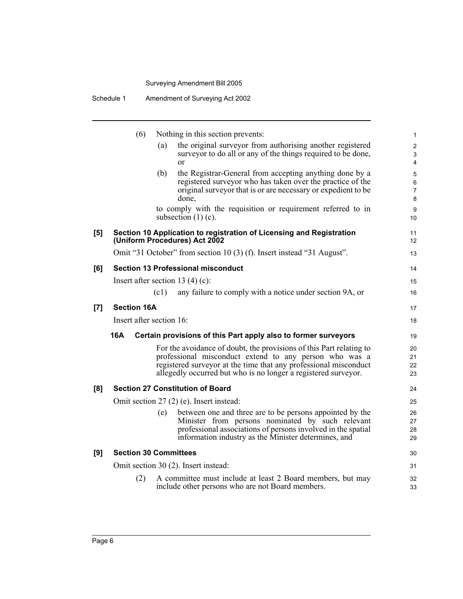Schedule 1 Amendment of Surveying Act 2002

|     | (6)                      | Nothing in this section prevents:                                                                                                  | $\mathbf{1}$   |
|-----|--------------------------|------------------------------------------------------------------------------------------------------------------------------------|----------------|
|     |                          | the original surveyor from authorising another registered<br>(a)                                                                   | $\overline{2}$ |
|     |                          | surveyor to do all or any of the things required to be done,                                                                       | $\mathfrak{S}$ |
|     |                          | $\alpha$                                                                                                                           | 4              |
|     |                          | the Registrar-General from accepting anything done by a<br>(b)<br>registered surveyor who has taken over the practice of the       | 5<br>6         |
|     |                          | original surveyor that is or are necessary or expedient to be                                                                      | $\overline{7}$ |
|     |                          | done,                                                                                                                              | 8              |
|     |                          | to comply with the requisition or requirement referred to in                                                                       | 9              |
|     |                          | subsection $(1)$ (c).                                                                                                              | 10             |
| [5] |                          | Section 10 Application to registration of Licensing and Registration<br>(Uniform Procedures) Act 2002                              | 11<br>12       |
|     |                          | Omit "31 October" from section 10 (3) (f). Insert instead "31 August".                                                             | 13             |
| [6] |                          | <b>Section 13 Professional misconduct</b>                                                                                          | 14             |
|     |                          | Insert after section 13 $(4)$ (c):                                                                                                 | 15             |
|     |                          | any failure to comply with a notice under section 9A, or<br>(c1)                                                                   | 16             |
| [7] | <b>Section 16A</b>       |                                                                                                                                    | 17             |
|     | Insert after section 16: |                                                                                                                                    | 18             |
|     | 16A                      | Certain provisions of this Part apply also to former surveyors                                                                     | 19             |
|     |                          | For the avoidance of doubt, the provisions of this Part relating to                                                                | 20             |
|     |                          | professional misconduct extend to any person who was a                                                                             | 21             |
|     |                          | registered surveyor at the time that any professional misconduct<br>allegedly occurred but who is no longer a registered surveyor. | 22<br>23       |
|     |                          |                                                                                                                                    |                |
| [8] |                          | <b>Section 27 Constitution of Board</b>                                                                                            | 24             |
|     |                          | Omit section 27 (2) (e). Insert instead:                                                                                           | 25             |
|     |                          | between one and three are to be persons appointed by the<br>(e)                                                                    | 26             |
|     |                          | Minister from persons nominated by such relevant<br>professional associations of persons involved in the spatial                   | 27             |
|     |                          | information industry as the Minister determines, and                                                                               | 28<br>29       |
|     |                          |                                                                                                                                    |                |
| [9] |                          | <b>Section 30 Committees</b>                                                                                                       | 30             |
|     |                          | Omit section 30 (2). Insert instead:                                                                                               | 31             |
|     |                          |                                                                                                                                    |                |
|     | (2)                      | A committee must include at least 2 Board members, but may                                                                         | 32             |
|     |                          | include other persons who are not Board members.                                                                                   | 33             |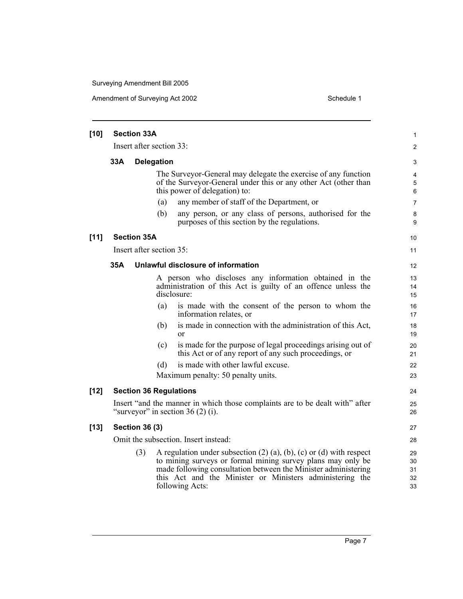Amendment of Surveying Act 2002 Schedule 1

| $[10]$ | <b>Section 33A</b>                                                                                                                                                                                                                                                                                     |                          |                   |                                                                                                                                                                    |                |  |
|--------|--------------------------------------------------------------------------------------------------------------------------------------------------------------------------------------------------------------------------------------------------------------------------------------------------------|--------------------------|-------------------|--------------------------------------------------------------------------------------------------------------------------------------------------------------------|----------------|--|
|        | Insert after section 33:                                                                                                                                                                                                                                                                               |                          |                   |                                                                                                                                                                    |                |  |
|        | 33A                                                                                                                                                                                                                                                                                                    |                          | <b>Delegation</b> |                                                                                                                                                                    | 3              |  |
|        |                                                                                                                                                                                                                                                                                                        |                          |                   | The Surveyor-General may delegate the exercise of any function<br>of the Surveyor-General under this or any other Act (other than<br>this power of delegation) to: | 4<br>5<br>6    |  |
|        |                                                                                                                                                                                                                                                                                                        |                          | (a)               | any member of staff of the Department, or                                                                                                                          | 7              |  |
|        |                                                                                                                                                                                                                                                                                                        |                          | (b)               | any person, or any class of persons, authorised for the<br>purposes of this section by the regulations.                                                            | 8<br>9         |  |
| $[11]$ |                                                                                                                                                                                                                                                                                                        | <b>Section 35A</b>       |                   |                                                                                                                                                                    | 10             |  |
|        |                                                                                                                                                                                                                                                                                                        | Insert after section 35: |                   |                                                                                                                                                                    | 11             |  |
|        | 35A                                                                                                                                                                                                                                                                                                    |                          |                   | Unlawful disclosure of information                                                                                                                                 | 12             |  |
|        |                                                                                                                                                                                                                                                                                                        |                          |                   | A person who discloses any information obtained in the<br>administration of this Act is guilty of an offence unless the<br>disclosure:                             | 13<br>14<br>15 |  |
|        |                                                                                                                                                                                                                                                                                                        |                          | (a)               | is made with the consent of the person to whom the<br>information relates, or                                                                                      | 16<br>17       |  |
|        |                                                                                                                                                                                                                                                                                                        |                          | (b)               | is made in connection with the administration of this Act,<br>$\alpha$                                                                                             | 18<br>19       |  |
|        |                                                                                                                                                                                                                                                                                                        |                          | (c)               | is made for the purpose of legal proceedings arising out of<br>this Act or of any report of any such proceedings, or                                               | 20<br>21       |  |
|        |                                                                                                                                                                                                                                                                                                        |                          | (d)               | is made with other lawful excuse.                                                                                                                                  | 22             |  |
|        |                                                                                                                                                                                                                                                                                                        |                          |                   | Maximum penalty: 50 penalty units.                                                                                                                                 | 23             |  |
| $[12]$ |                                                                                                                                                                                                                                                                                                        |                          |                   | <b>Section 36 Regulations</b>                                                                                                                                      | 24             |  |
|        |                                                                                                                                                                                                                                                                                                        |                          |                   | Insert "and the manner in which those complaints are to be dealt with" after<br>"surveyor" in section 36 $(2)$ (i).                                                | 25<br>26       |  |
| $[13]$ |                                                                                                                                                                                                                                                                                                        | <b>Section 36 (3)</b>    |                   |                                                                                                                                                                    | 27             |  |
|        |                                                                                                                                                                                                                                                                                                        |                          |                   | Omit the subsection. Insert instead:                                                                                                                               | 28             |  |
|        | A regulation under subsection $(2)$ $(a)$ , $(b)$ , $(c)$ or $(d)$ with respect<br>(3)<br>to mining surveys or formal mining survey plans may only be<br>made following consultation between the Minister administering<br>this Act and the Minister or Ministers administering the<br>following Acts: |                          |                   |                                                                                                                                                                    |                |  |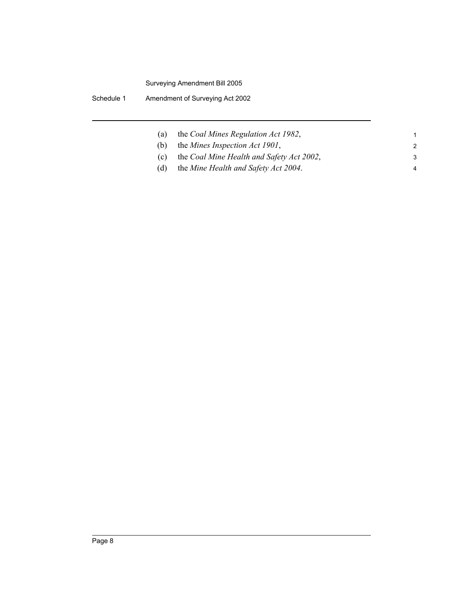Schedule 1 Amendment of Surveying Act 2002

| (a) | the Coal Mines Regulation Act 1982,       |                       |
|-----|-------------------------------------------|-----------------------|
| (b) | the Mines Inspection Act 1901,            |                       |
| (c) | the Coal Mine Health and Safety Act 2002, |                       |
| (d) | the Mine Health and Safety Act 2004.      | $\boldsymbol{\Delta}$ |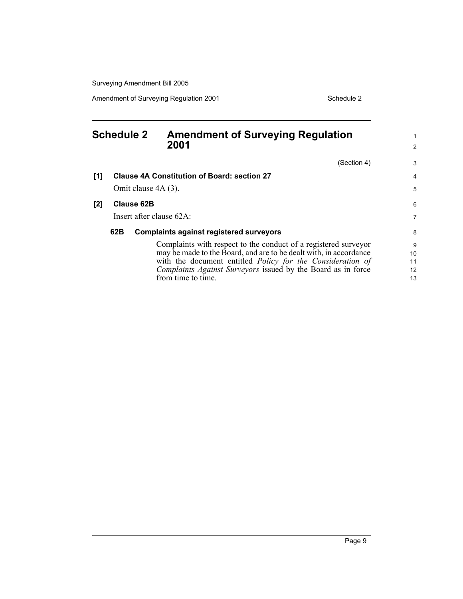Amendment of Surveying Regulation 2001 and the Schedule 2

<span id="page-16-0"></span>

| <b>Schedule 2</b> |     |                     | <b>Amendment of Surveying Regulation</b><br>2001                  | 1<br>2         |
|-------------------|-----|---------------------|-------------------------------------------------------------------|----------------|
|                   |     |                     | (Section 4)                                                       | 3              |
| [1]               |     |                     | <b>Clause 4A Constitution of Board: section 27</b>                | $\overline{4}$ |
|                   |     | Omit clause 4A (3). |                                                                   | 5              |
| [2]               |     | Clause 62B          |                                                                   | 6              |
|                   |     |                     | Insert after clause $62A$ :                                       | 7              |
|                   | 62B |                     | <b>Complaints against registered surveyors</b>                    | 8              |
|                   |     |                     | Complaints with respect to the conduct of a registered surveyor   | 9              |
|                   |     |                     | may be made to the Board, and are to be dealt with, in accordance | 10             |
|                   |     |                     | with the document entitled <i>Policy for the Consideration of</i> | 11             |
|                   |     |                     | Complaints Against Surveyors issued by the Board as in force      | 12             |
|                   |     |                     | from time to time.                                                | 13             |